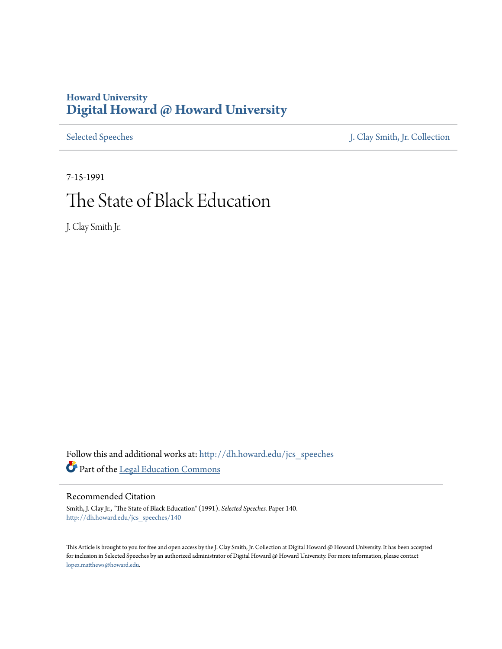# **Howard University [Digital Howard @ Howard University](http://dh.howard.edu?utm_source=dh.howard.edu%2Fjcs_speeches%2F140&utm_medium=PDF&utm_campaign=PDFCoverPages)**

[Selected Speeches](http://dh.howard.edu/jcs_speeches?utm_source=dh.howard.edu%2Fjcs_speeches%2F140&utm_medium=PDF&utm_campaign=PDFCoverPages) [J. Clay Smith, Jr. Collection](http://dh.howard.edu/jcsmith?utm_source=dh.howard.edu%2Fjcs_speeches%2F140&utm_medium=PDF&utm_campaign=PDFCoverPages)

7-15-1991 The State of Black Education

J. Clay Smith Jr.

Follow this and additional works at: [http://dh.howard.edu/jcs\\_speeches](http://dh.howard.edu/jcs_speeches?utm_source=dh.howard.edu%2Fjcs_speeches%2F140&utm_medium=PDF&utm_campaign=PDFCoverPages) Part of the [Legal Education Commons](http://network.bepress.com/hgg/discipline/857?utm_source=dh.howard.edu%2Fjcs_speeches%2F140&utm_medium=PDF&utm_campaign=PDFCoverPages)

Recommended Citation

Smith, J. Clay Jr., "The State of Black Education" (1991). *Selected Speeches.* Paper 140. [http://dh.howard.edu/jcs\\_speeches/140](http://dh.howard.edu/jcs_speeches/140?utm_source=dh.howard.edu%2Fjcs_speeches%2F140&utm_medium=PDF&utm_campaign=PDFCoverPages)

This Article is brought to you for free and open access by the J. Clay Smith, Jr. Collection at Digital Howard @ Howard University. It has been accepted for inclusion in Selected Speeches by an authorized administrator of Digital Howard @ Howard University. For more information, please contact [lopez.matthews@howard.edu.](mailto:lopez.matthews@howard.edu)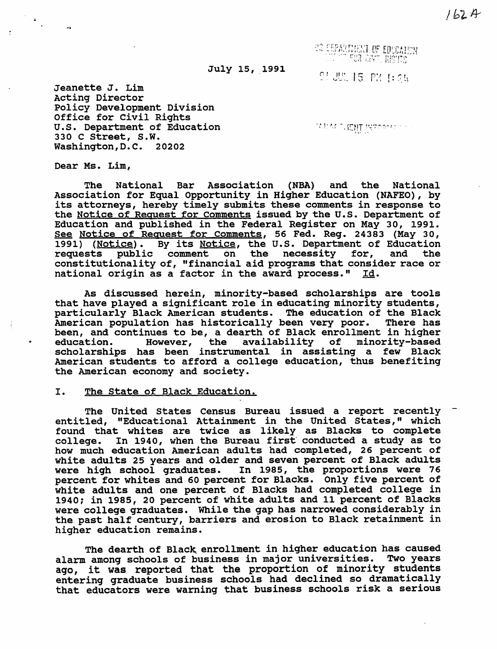I.b? *fY* 

US DEPARTMENT OF EDUCATION

July 15, 1991

(: 1 II r' O'. ,~ •••• ~\_

Jeanette J. Lim Acting Director Policy Development Division Office for civil Rights u.s. Department of Education 330 C street, S.W. Washington,D.C. 20202

**WEAT SKENT INFORMALL** 

Dear Ms. Lim,

The National Bar Association (NBA) and the National Association for Equal Opportunity in Higher Education (NAFEO), by its attorneys, hereby timely submits these comments in response to the Notice of Request for Comments issued by the U.S. Department of Education and published in the Federal Register on May 30, 1991. See Notice of Request for Comments, 56 Fed. Reg. 24383 (May 30, dee Notice of Request for Commence, 50 Fed. Reg. 24585 (May 50, 1991) (Notice). By its Notice, the U.S. Department of Education requests public comment on the necessity for, and the constitutionality of, "financial aid programs that consider race or national origin as a factor in the award process." Id.

As discussed herein, minority-based scholarships are tools that have played a significant role in educating minority students, particularly Black American students. The education of the Black American population has historically been very poor. There has been, and continues to be, a dearth of Black enrollment in higher education. However, the availability of minority-based scholarships has been instrumental in assisting a few Black American students to afford a college education, thus benefiting the American economy and society.

## I. The state of Black Education.

The united states Census Bureau issued a report recently entitled, "Educational Attainment in the united states," which found that whites are twice as likely as Blacks to complete college. In 1940, when the Bureau first· conducted a study as to how much education American adults had completed, 26 percent of white adults 25 years and older and seven percent of Black adults were high school graduates. In 1985, the proportions were 76 percent for whites and 60 percent for Blacks. Only five percent of white adults and one percent of Blacks had completed college in 1940: in 1985, 20 percent of white adults and 11 percent of Blacks were college graduates. While the gap has narrowed considerably in the past half century, barriers and erosion to Black retainment in higher education remains.

The dearth of Black enrollment in higher education has caused alarm among schools of business in major universities. Two years ago, it was reported that the proportion of minority students entering graduate business schools had declined so dramatically that educators were warning that business schools risk a serious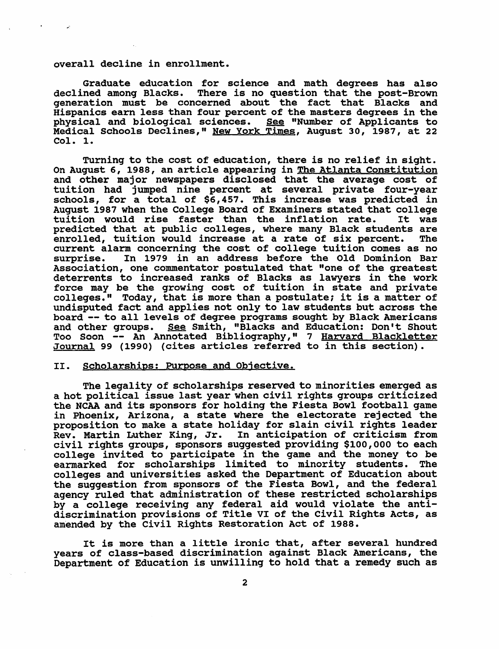#### overall decline in enrollment.

Graduate education for science and math degrees has also declined among Blacks. There is no question that the post-Brown generation must be concerned about the fact that Blacks and Hispanics earn less than four percent of the masters degrees in the physical and biological sciences. See "Number of Applicants to Medical Schools Declines," New York Times, August 30, 1987, at 22 Col. 1.

Turning to the cost of education, there is no relief in sight. On August 6, 1988, an article appearing in The Atlanta Constitution and other major newspapers disclosed that the average cost of tuition had jumped nine percent at several private four-year schools, for a total of \$6,457. This increase was predicted in August 1987 when the College Board of Examiners stated that college tuition would rise faster than the inflation rate. It was predicted that at public colleges, where many Black students are enrolled, tuition would increase at a rate of six percent. The current alarm concerning the cost of college tuition comes as no In 1979 in an address before the Old Dominion Bar Association, one commentator postulated that "one of the greatest deterrents to increased ranks of Blacks as lawyers in the work force may be the growing cost of tuition in state and private colleges." Today, that is more than a postulate; it is a matter of undisputed fact and applies not only to law students but across the board -- to all levels of degree programs sought by Black Americans and other groups. See Smith, "Blacks and Education: Don't Shout Too Soon -- An Annotated Bibliography," 7 Harvard Blackletter Journal 99 (1990) (cites articles referred to in this section).

#### II. Scholarships: Purpose and Objective.

The legality of scholarships reserved to minorities emerged as a hot political issue last year when civil rights groups criticized<br>the NCAA and its sponsors for holding the Fiesta Bowl football game in Phoenix, Arizona, a state where the electorate rejected the proposition to make a state holiday for slain civil rights leader<br>Rev. Martin Luther King, Jr. In anticipation of criticism from In anticipation of criticism from civil rights groups, sponsors suggested providing \$100,000 to each college invited to participate in the game and the money to be earmarked for scholarships limited to minority students. The colleges and universities asked the Department of Education about the suggestion from sponsors of the Fiesta Bowl, and the federal agency ruled that administration of these restricted scholarships by a college receiving any federal aid would violate the antidiscrimination provisions of Title VI of the civil Rights Acts, as amended by the Civil Rights Restoration Act of 1988.

It is more than a little ironic that, after several hundred years of class-based discrimination against Black Americans, the Department of Education is unwilling to hold that a remedy such as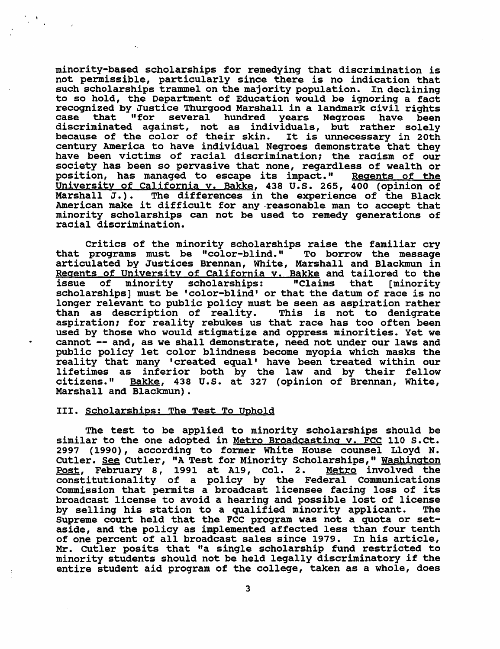minority-based scholarships for remedying that discrimination is not permissible, particularly since there is no indication that such scholarships trammel on the majority population. In declining to so hold, the Department of Education would be ignoring a fact recognized by Justice Thurgood Marshall in a landmark civil rights case that "for several hundred years Negroes have been discriminated against, not as individuals, but rather solely<br>because of the color of their skin. It is unnecessary in 20th because of the color of their skin. It is unnecessary in 20th<br>century America to have individual Negroes demonstrate that they<br>have been victims of racial discrimination; the racism of our society has been so pervasive that none, regardless of wealth or position, has managed to escape its impact." Regents of the University of California v. Bakke, 438 U.S. 265, 400 (opinion of Marshall J.). The differences in the experience of the Black American make it difficult for any -reasonable man to accept that minority scholarships can not be used to remedy generations of racial discrimination.

critics of the minority scholarships raise the familiar cry that programs must be "color-blind." To borrow the message articulated by Justices Brennan, White, Marshall and Blackmun in Regents of University of California v. Bakke and tailored to the<br>issue of minority scholarships: "Claims that [minority of minority scholarships: "Claims that [minority scholarships] must be 'color-blind' or that the datum of race is no longer relevant to public policy must be seen as aspiration rather<br>than as description of reality. This is not to denigrate aspiration; for reality rebukes us that race has too often been used by those who would stigmatize and oppress minorities. Yet we cannot -- and, as we shall demonstrate, need not under our laws and public policy let color blindness become myopia which masks the reality that many 'created equal' have been treated within our lifetimes as inferior both by the law and by their fellow ifferimes as inferior bodin by the law and by their feftow<br>citizens." Bakke, 438 U.S. at 327 (opinion of Brennan, White, Marshall and Blackmun).

#### III. Scholarships: The Test To Uphold

The test to be applied to minority scholarships should be similar to the one adopted in Metro Broadcasting v. FCC 110 S.Ct. 2007 (1990), according to former White House counsel Lloyd N. Cutler. See Cutler, "A Test for Minority Scholarships," Washington Post, February 8, 1991 at A19, Col. 2. Metro involved the constitutionality of a policy by the Federal Communications Commission that permits a broadcast licensee facing loss of its broadcast license to avoid a hearing and possible lost of license by selling his station to a qualified minority applicant. Supreme court held that the FCC program was not a quota or setaside, and the policy as implemented affected less than four tenth of one percent of all broadcast sales since 1979. In his article, Mr. cutler posits that "a single scholarship fund restricted to minority students should not be held legally discriminatory if the entire student aid program of the college, taken as a whole, does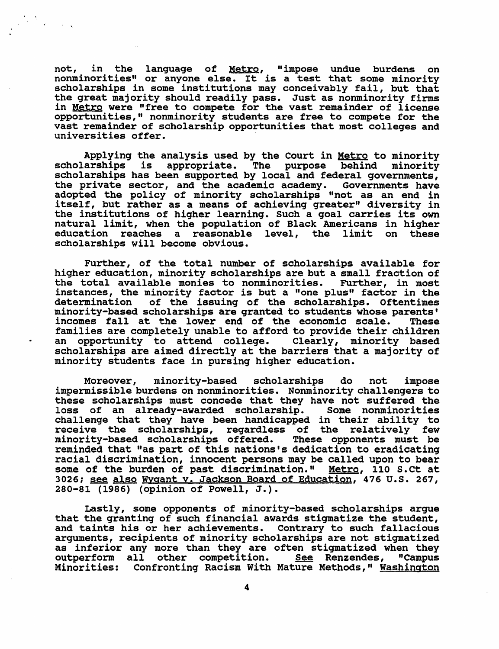not, in the language of Metro, "impose undue burdens on not, in the language of <u>metro</u>, "impose undue burdens on<br>nonminorities" or anyone else. It is a test that some minority<br>scholarships in some institutions may conceivably fail, but that scholarships in some institutions may conceivably fail, but that<br>the great majority should readily pass. Just as nonminority firms in Metro were "free to compete for the vast remainder of license opportunities," nonminority students are free to compete for the vast remainder of scholarship opportunities that most colleges and universities offer.

Applying the analysis used by the Court in <u>Metro</u> to minority<br>arships is appropriate. The purpose behind minority scholarships is appropriate. The purpose behind scholarships has been supported by local and federal governments, the private sector, and the academic academy. Governments have adopted the policy of minority scholarships "not as an end in duspeed the pointy of minority scholarships hot as an end in the institutions of higher learning. Such a goal carries its own natural limit, when the population of Black Americans in higher education reaches a reasonable level, the limit on these scholarships will become obvious.

Further, of the total number of scholarships available for higher education, minority scholarships are but a small fraction of the total available monies to nonminorities. Further, in most instances, the minority factor is but a "one plus" factor in the determination of the issuing of the scholarships. Oftentimes minority-based scholarships are granted to students whose parents' incomes fall at the lower end of the economic scale. These families are completely unable to afford to provide their children<br>an opportunity to attend college. Clearly, minority based an opportunity to attend college. scholarships are aimed directly at the barriers that a majority of minority students face in pursing higher education.

Moreover, minority-based scholarships do not impose impermissible burdens on nonminorities. Nonminority challengers to these scholarships must concede that they have not suffered the<br>loss of an already-awarded scholarship. Some nonminorities loss of an already-awarded scholarship. challenge that they have been handicapped in their ability to receive the scholarships, regardless of the relatively few minority-based scholarships offered. These opponents must be reminded that "as part of this nations's dedication to eradicating racial discrimination, innocent persons may be called upon to bear some of the burden of past discrimination." Metro, 110 S.Ct at 3026; see also Wygant v. Jackson Board of Education, 476 U.S. 267, 280-81 (1986) (opinion of Powell, J.).

Lastly, some opponents of minority-based scholarships argue that the granting of such financial awards stigmatize the student, and taints his or her achievements. contrary to such fallacious arguments, recipients of minority scholarships are not stigmatized as inferior any more than they are often stigmatized when they outperform all other competition. See Renzendes, "Campus Minorities: Confronting Racism with Mature Methods," Washington